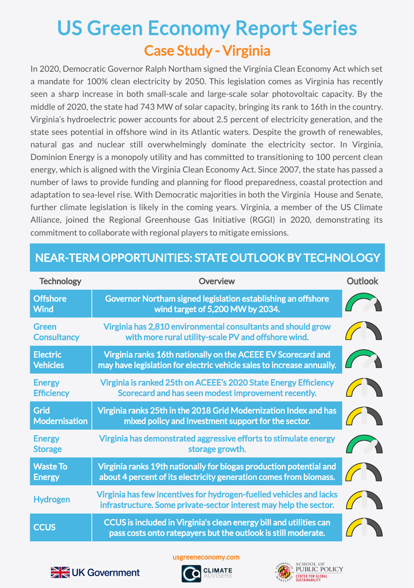## Case Study - Virginia US Green Economy Report Series

In 2020, Democratic Governor Ralph Northam signed the Virginia Clean Economy Act which set a mandate for 100% clean electricity by 2050. This legislation comes as Virginia has recently seen a sharp increase in both small-scale and large-scale solar photovoltaic capacity. By the middle of 2020, the state had 743 MW of solar capacity, bringing its rank to 16th in the country. Virginia's hydroelectric power accounts for about 2.5 percent of electricity generation, and the state sees potential in offshore wind in its Atlantic waters. Despite the growth of renewables, natural gas and nuclear still overwhelmingly dominate the electricity sector. In Virginia, Dominion Energy is a monopoly utility and has committed to transitioning to 100 percent clean energy, which is aligned with the Virginia Clean Economy Act. Since 2007, the state has passed a number of laws to provide funding and planning for flood preparedness, coastal protection and adaptation to sea-level rise. With Democratic majorities in both the Virginia House and Senate, further climate legislation is likely in the coming years. Virginia, a member of the US Climate Alliance, joined the Regional Greenhouse Gas Initiative (RGGI) in 2020, demonstrating its commitment to collaborate with regional players to mitigate emissions.

| <b>Technology</b>                  | <b>Overview</b>                                                                                                                          | <b>Outlook</b> |
|------------------------------------|------------------------------------------------------------------------------------------------------------------------------------------|----------------|
| <b>Offshore</b><br><b>Wind</b>     | Governor Northam signed legislation establishing an offshore<br>wind target of 5,200 MW by 2034.                                         |                |
| Green<br><b>Consultancy</b>        | Virginia has 2,810 environmental consultants and should grow<br>with more rural utility-scale PV and offshore wind.                      |                |
| <b>Electric</b><br><b>Vehicles</b> | Virginia ranks 16th nationally on the ACEEE EV Scorecard and<br>may have legislation for electric vehicle sales to increase annually.    |                |
| <b>Energy</b><br><b>Efficiency</b> | Virginia is ranked 25th on ACEEE's 2020 State Energy Efficiency<br>Scorecard and has seen modest improvement recently.                   |                |
| Grid<br><b>Modernisation</b>       | Virginia ranks 25th in the 2018 Grid Modernization Index and has<br>mixed policy and investment support for the sector.                  |                |
| <b>Energy</b><br><b>Storage</b>    | Virginia has demonstrated aggressive efforts to stimulate energy<br>storage growth.                                                      |                |
| <b>Waste To</b><br><b>Energy</b>   | Virginia ranks 19th nationally for biogas production potential and<br>about 4 percent of its electricity generation comes from biomass.  |                |
| <b>Hydrogen</b>                    | Virginia has few incentives for hydrogen-fuelled vehicles and lacks<br>infrastructure. Some private-sector interest may help the sector. |                |
| <b>CCUS</b>                        | CCUS is included in Virginia's clean energy bill and utilities can<br>pass costs onto ratepayers but the outlook is still moderate.      |                |

## NEAR-TERM OPPORTUNITIES: STATE OUTLOOK BY TECHNOLOGY

usgreeneconomy.com